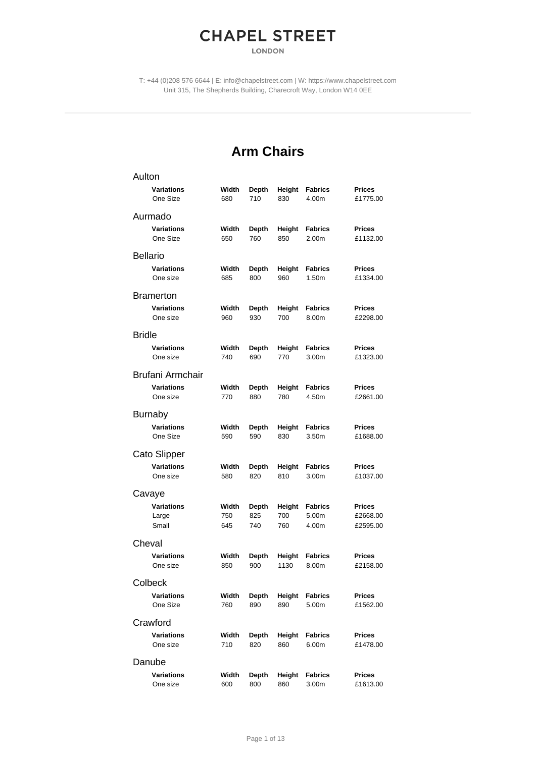## **CHAPEL STREET**

**LONDON** 

T: +44 (0)208 576 6644 | E: info@chapelstreet.com | W: https://www.chapelstreet.com Unit 315, The Shepherds Building, Charecroft Way, London W14 0EE

## **Arm Chairs**

| Aulton                        |              |                     |                |                                     |                           |
|-------------------------------|--------------|---------------------|----------------|-------------------------------------|---------------------------|
| <b>Variations</b><br>One Size | Width<br>680 | Depth<br>710        | Height<br>830  | <b>Fabrics</b><br>4.00m             | <b>Prices</b><br>£1775.00 |
| Aurmado                       |              |                     |                |                                     |                           |
| <b>Variations</b><br>One Size | Width<br>650 | Depth<br>760        | Height<br>850  | <b>Fabrics</b><br>2.00m             | <b>Prices</b><br>£1132.00 |
| <b>Bellario</b>               |              |                     |                |                                     |                           |
| Variations<br>One size        | Width<br>685 | Depth<br>800        | Height<br>960  | <b>Fabrics</b><br>1.50m             | <b>Prices</b><br>£1334.00 |
| <b>Bramerton</b>              |              |                     |                |                                     |                           |
| <b>Variations</b><br>One size | Width<br>960 | <b>Depth</b><br>930 | Height<br>700  | <b>Fabrics</b><br>8.00m             | <b>Prices</b><br>£2298.00 |
| <b>Bridle</b>                 |              |                     |                |                                     |                           |
| <b>Variations</b><br>One size | Width<br>740 | Depth<br>690        | Height<br>770  | <b>Fabrics</b><br>3.00m             | <b>Prices</b><br>£1323.00 |
| Brufani Armchair              |              |                     |                |                                     |                           |
| Variations<br>One size        | Width<br>770 | Depth<br>880        | Height<br>780  | <b>Fabrics</b><br>4.50m             | <b>Prices</b><br>£2661.00 |
| <b>Burnaby</b>                |              |                     |                |                                     |                           |
| <b>Variations</b><br>One Size | Width<br>590 | Depth<br>590        | Height<br>830  | <b>Fabrics</b><br>3.50m             | <b>Prices</b><br>£1688.00 |
| Cato Slipper                  |              |                     |                |                                     |                           |
| <b>Variations</b><br>One size | Width<br>580 | Depth<br>820        | Height<br>810  | Fabrics<br>3.00m                    | <b>Prices</b><br>£1037.00 |
| Cavaye                        |              |                     |                |                                     |                           |
| <b>Variations</b><br>Large    | Width<br>750 | <b>Depth</b><br>825 | Height<br>700  | <b>Fabrics</b><br>5.00m             | <b>Prices</b><br>£2668.00 |
| Small                         | 645          | 740                 | 760            | 4.00m                               | £2595.00                  |
| Cheval                        |              |                     |                |                                     |                           |
| Variations<br>One size        | Width<br>850 | Depth<br>900        | Height<br>1130 | <b>Fabrics</b><br>8.00m             | <b>Prices</b><br>£2158.00 |
| Colbeck                       |              |                     |                |                                     |                           |
| Variations<br>One Size        | Width<br>760 | Depth<br>890        | Height<br>890  | <b>Fabrics</b><br>5.00 <sub>m</sub> | <b>Prices</b><br>£1562.00 |
| Crawford                      |              |                     |                |                                     |                           |
| <b>Variations</b><br>One size | Width<br>710 | Depth<br>820        | Height<br>860  | <b>Fabrics</b><br>6.00m             | <b>Prices</b><br>£1478.00 |
| Danube                        |              |                     |                |                                     |                           |
| Variations<br>One size        | Width<br>600 | <b>Depth</b><br>800 | Height<br>860  | <b>Fabrics</b><br>3.00m             | <b>Prices</b><br>£1613.00 |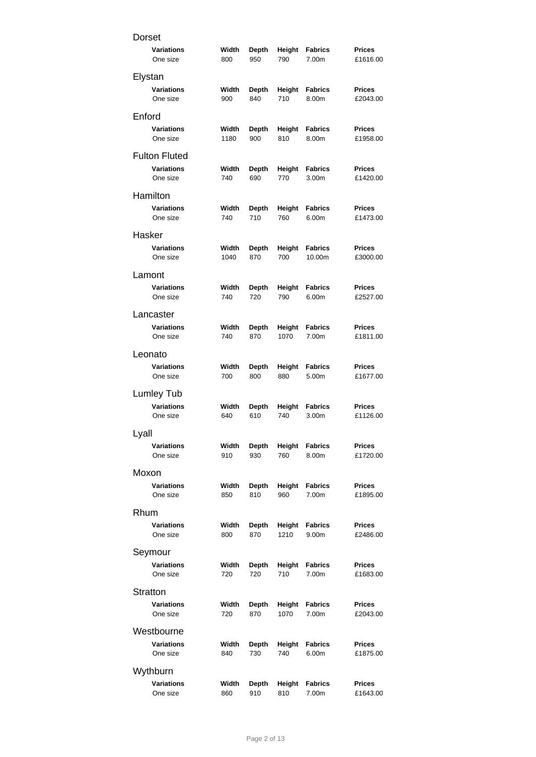| Dorset               |       |              |        |                |               |
|----------------------|-------|--------------|--------|----------------|---------------|
| <b>Variations</b>    | Width | Depth        | Height | <b>Fabrics</b> | <b>Prices</b> |
| One size             | 800   | 950          | 790    | 7.00m          | £1616.00      |
| Elystan              |       |              |        |                |               |
| <b>Variations</b>    | Width | Depth        | Height | <b>Fabrics</b> | <b>Prices</b> |
| One size             | 900   | 840          | 710    | 8.00m          | £2043.00      |
| Enford               |       |              |        |                |               |
| <b>Variations</b>    | Width | Depth        | Height | <b>Fabrics</b> | <b>Prices</b> |
| One size             | 1180  | 900          | 810    | 8.00m          | £1958.00      |
| <b>Fulton Fluted</b> |       |              |        |                |               |
| <b>Variations</b>    | Width | <b>Depth</b> | Height | <b>Fabrics</b> | Prices        |
| One size             | 740   | 690          | 770    | 3.00m          | £1420.00      |
| Hamilton             |       |              |        |                |               |
| <b>Variations</b>    | Width | Depth        | Height | <b>Fabrics</b> | <b>Prices</b> |
| One size             | 740   | 710          | 760    | 6.00m          | £1473.00      |
| Hasker               |       |              |        |                |               |
| <b>Variations</b>    | Width | <b>Depth</b> | Height | <b>Fabrics</b> | <b>Prices</b> |
| One size             | 1040  | 870          | 700    | 10.00m         | £3000.00      |
| Lamont               |       |              |        |                |               |
| <b>Variations</b>    | Width | Depth        | Height | <b>Fabrics</b> | Prices        |
| One size             | 740   | 720          | 790    | 6.00m          | £2527.00      |
| Lancaster            |       |              |        |                |               |
| <b>Variations</b>    | Width | Depth        | Height | <b>Fabrics</b> | Prices        |
| One size             | 740   | 870          | 1070   | 7.00m          | £1811.00      |
| Leonato              |       |              |        |                |               |
| <b>Variations</b>    | Width | <b>Depth</b> | Height | <b>Fabrics</b> | <b>Prices</b> |
| One size             | 700   | 800          | 880    | 5.00m          | £1677.00      |
| Lumley Tub           |       |              |        |                |               |
| <b>Variations</b>    | Width | Depth        | Height | <b>Fabrics</b> | Prices        |
| One size             | 640   | 610          | 740    | 3.00m          | £1126.00      |
| Lyall                |       |              |        |                |               |
| Variations           | Width | Depth        | Height | <b>Fabrics</b> | Prices        |
| One size             | 910   | 930          | 760    | 8.00m          | £1720.00      |
| Moxon                |       |              |        |                |               |
| <b>Variations</b>    | Width | <b>Depth</b> | Height | <b>Fabrics</b> | <b>Prices</b> |
| One size             | 850   | 810          | 960    | 7.00m          | £1895.00      |
| Rhum                 |       |              |        |                |               |
| <b>Variations</b>    | Width | Depth        | Height | <b>Fabrics</b> | <b>Prices</b> |
| One size             | 800   | 870          | 1210   | 9.00m          | £2486.00      |
| Seymour              |       |              |        |                |               |
| <b>Variations</b>    | Width | Depth        | Height | <b>Fabrics</b> | <b>Prices</b> |
| One size             | 720   | 720          | 710    | 7.00m          | £1683.00      |
| Stratton             |       |              |        |                |               |
| <b>Variations</b>    | Width | Depth        | Height | <b>Fabrics</b> | <b>Prices</b> |
| One size             | 720   | 870          | 1070   | 7.00m          | £2043.00      |
| Westbourne           |       |              |        |                |               |
| <b>Variations</b>    | Width | Depth        | Height | <b>Fabrics</b> | <b>Prices</b> |
| One size             | 840   | 730          | 740    | 6.00m          | £1875.00      |
| Wythburn             |       |              |        |                |               |
| <b>Variations</b>    | Width | <b>Depth</b> | Height | <b>Fabrics</b> | Prices        |
| One size             | 860   | 910          | 810    | 7.00m          | £1643.00      |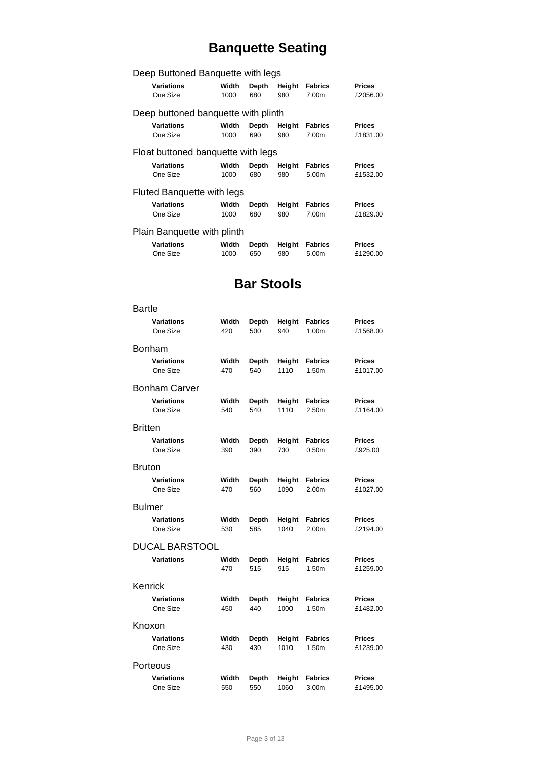## **Banquette Seating**

| Deep Buttoned Banquette with legs   |                                    |              |               |                                     |                           |  |  |  |
|-------------------------------------|------------------------------------|--------------|---------------|-------------------------------------|---------------------------|--|--|--|
| <b>Variations</b><br>One Size       | Width<br>1000                      | Depth<br>680 | Height<br>980 | <b>Fabrics</b><br>7.00 <sub>m</sub> | <b>Prices</b><br>£2056.00 |  |  |  |
| Deep buttoned banquette with plinth |                                    |              |               |                                     |                           |  |  |  |
| <b>Variations</b>                   | Width                              | Depth        | Height        | <b>Fabrics</b>                      | <b>Prices</b>             |  |  |  |
| One Size                            | 1000                               | 690          | 980           | 7.00 <sub>m</sub>                   | £1831.00                  |  |  |  |
|                                     | Float buttoned banquette with legs |              |               |                                     |                           |  |  |  |
| <b>Variations</b>                   | Width                              | Depth        | Height        | <b>Fabrics</b>                      | <b>Prices</b>             |  |  |  |
| One Size                            | 1000                               | 680          | 980           | 5.00m                               | £1532.00                  |  |  |  |
| Fluted Banquette with legs          |                                    |              |               |                                     |                           |  |  |  |
| <b>Variations</b>                   | Width                              | Depth        | Height        | <b>Fabrics</b>                      | <b>Prices</b>             |  |  |  |
| One Size                            | 1000                               | 680          | 980           | 7.00m                               | £1829.00                  |  |  |  |
| Plain Banquette with plinth         |                                    |              |               |                                     |                           |  |  |  |
| <b>Variations</b>                   | Width                              | Depth        | Height        | <b>Fabrics</b>                      | <b>Prices</b>             |  |  |  |
| One Size                            | 1000                               | 650          | 980           | 5.00m                               | £1290.00                  |  |  |  |

## **Bar Stools**

| <b>Bartle</b>        |       |       |        |                   |               |
|----------------------|-------|-------|--------|-------------------|---------------|
| <b>Variations</b>    | Width | Depth | Height | <b>Fabrics</b>    | <b>Prices</b> |
| One Size             | 420   | 500   | 940    | 1.00m             | £1568.00      |
| <b>Bonham</b>        |       |       |        |                   |               |
| <b>Variations</b>    | Width | Depth | Height | <b>Fabrics</b>    | <b>Prices</b> |
| One Size             | 470   | 540   | 1110   | 1.50m             | £1017.00      |
| <b>Bonham Carver</b> |       |       |        |                   |               |
| <b>Variations</b>    | Width | Depth | Height | <b>Fabrics</b>    | <b>Prices</b> |
| One Size             | 540   | 540   | 1110   | 2.50m             | £1164.00      |
| <b>Britten</b>       |       |       |        |                   |               |
| <b>Variations</b>    | Width | Depth | Height | <b>Fabrics</b>    | <b>Prices</b> |
| One Size             | 390   | 390   | 730    | 0.50 <sub>m</sub> | £925.00       |
| <b>Bruton</b>        |       |       |        |                   |               |
| <b>Variations</b>    | Width | Depth | Height | <b>Fabrics</b>    | <b>Prices</b> |
| One Size             | 470   | 560   | 1090   | 2.00m             | £1027.00      |
| <b>Bulmer</b>        |       |       |        |                   |               |
| <b>Variations</b>    | Width | Depth | Height | <b>Fabrics</b>    | <b>Prices</b> |
| One Size             | 530   | 585   | 1040   | 2.00m             | £2194.00      |
| DUCAL BARSTOOL       |       |       |        |                   |               |
| <b>Variations</b>    | Width | Depth | Height | <b>Fabrics</b>    | <b>Prices</b> |
|                      | 470   | 515   | 915    | 1.50m             | £1259.00      |
| Kenrick              |       |       |        |                   |               |
| <b>Variations</b>    | Width | Depth | Height | <b>Fabrics</b>    | <b>Prices</b> |
| One Size             | 450   | 440   | 1000   | 1.50m             | £1482.00      |
| Knoxon               |       |       |        |                   |               |
| <b>Variations</b>    | Width | Depth | Height | <b>Fabrics</b>    | <b>Prices</b> |
| One Size             | 430   | 430   | 1010   | 1.50m             | £1239.00      |
| Porteous             |       |       |        |                   |               |
| <b>Variations</b>    | Width | Depth | Height | <b>Fabrics</b>    | <b>Prices</b> |
| One Size             | 550   | 550   | 1060   | 3.00m             | £1495.00      |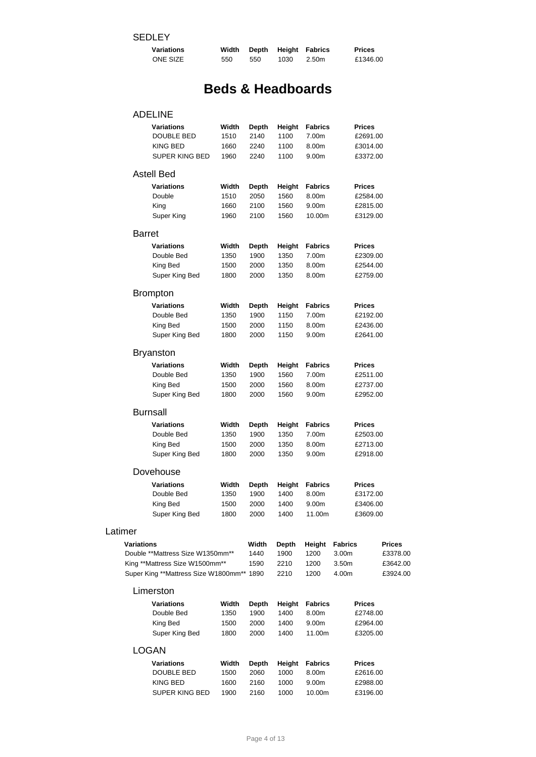| <b>Variations</b> | Width |     |      | Depth Height Fabrics | <b>Prices</b> |
|-------------------|-------|-----|------|----------------------|---------------|
| <b>ONE SIZE</b>   | 550   | 550 | 1030 | 2.50m                | £1346.00      |

## **Beds & Headboards**

# ADELINE

| Variations<br>DOUBLE BED<br>KING BED<br><b>SUPER KING BED</b>                                                                 | Width<br>1510<br>1660<br>1960 | Depth<br>2140<br>2240<br>2240 | Height<br>1100<br>1100<br>1100 | Fabrics<br>7.00m<br>8.00m<br>9.00m                     |                                           | <b>Prices</b><br>£2691.00<br>£3014.00<br>£3372.00 |
|-------------------------------------------------------------------------------------------------------------------------------|-------------------------------|-------------------------------|--------------------------------|--------------------------------------------------------|-------------------------------------------|---------------------------------------------------|
| <b>Astell Bed</b>                                                                                                             |                               |                               |                                |                                                        |                                           |                                                   |
| Variations<br>Double<br>King<br>Super King                                                                                    | Width<br>1510<br>1660<br>1960 | Depth<br>2050<br>2100<br>2100 | Height<br>1560<br>1560<br>1560 | <b>Fabrics</b><br>8.00m<br>9.00m<br>10.00m             |                                           | <b>Prices</b><br>£2584.00<br>£2815.00<br>£3129.00 |
| <b>Barret</b>                                                                                                                 |                               |                               |                                |                                                        |                                           |                                                   |
| Variations<br>Double Bed<br>King Bed<br>Super King Bed                                                                        | Width<br>1350<br>1500<br>1800 | Depth<br>1900<br>2000<br>2000 | Height<br>1350<br>1350<br>1350 | Fabrics<br>7.00m<br>8.00m<br>8.00m                     |                                           | <b>Prices</b><br>£2309.00<br>£2544.00<br>£2759.00 |
| <b>Brompton</b>                                                                                                               |                               |                               |                                |                                                        |                                           |                                                   |
| Variations<br>Double Bed<br>King Bed<br>Super King Bed                                                                        | Width<br>1350<br>1500<br>1800 | Depth<br>1900<br>2000<br>2000 | Height<br>1150<br>1150<br>1150 | <b>Fabrics</b><br>7.00m<br>8.00m<br>9.00m              |                                           | <b>Prices</b><br>£2192.00<br>£2436.00<br>£2641.00 |
| <b>Bryanston</b>                                                                                                              |                               |                               |                                |                                                        |                                           |                                                   |
| Variations<br>Double Bed<br>King Bed<br>Super King Bed                                                                        | Width<br>1350<br>1500<br>1800 | Depth<br>1900<br>2000<br>2000 | Height<br>1560<br>1560<br>1560 | <b>Fabrics</b><br>7.00m<br>8.00m<br>9.00m              |                                           | <b>Prices</b><br>£2511.00<br>£2737.00<br>£2952.00 |
| <b>Burnsall</b>                                                                                                               |                               |                               |                                |                                                        |                                           |                                                   |
| Variations<br>Double Bed<br>King Bed<br>Super King Bed                                                                        | Width<br>1350<br>1500<br>1800 | Depth<br>1900<br>2000<br>2000 | Height<br>1350<br>1350<br>1350 | <b>Fabrics</b><br>7.00m<br>8.00m<br>9.00m              |                                           | <b>Prices</b><br>£2503.00<br>£2713.00<br>£2918.00 |
| Dovehouse                                                                                                                     |                               |                               |                                |                                                        |                                           |                                                   |
| Variations<br>Double Bed<br>King Bed<br>Super King Bed                                                                        | Width<br>1350<br>1500<br>1800 | Depth<br>1900<br>2000<br>2000 | Height<br>1400<br>1400<br>1400 | Fabrics<br>8.00m<br>9.00m<br>11.00m                    |                                           | <b>Prices</b><br>£3172.00<br>£3406.00<br>£3609.00 |
| Latimer                                                                                                                       |                               |                               |                                |                                                        |                                           |                                                   |
| Variations<br>Double **Mattress Size W1350mm**<br>King **Mattress Size W1500mm**<br>Super King **Mattress Size W1800mm** 1890 |                               | Width<br>1440<br>1590         | Depth<br>1900<br>2210<br>2210  | Height<br>1200<br>1200<br>1200                         | <b>Fabrics</b><br>3.00m<br>3.50m<br>4.00m | <b>Prices</b><br>£3378.00<br>£3642.00<br>£3924.00 |
| Limerston                                                                                                                     |                               |                               |                                |                                                        |                                           |                                                   |
| Variations<br>Double Bed<br>King Bed<br>Super King Bed                                                                        | Width<br>1350<br>1500<br>1800 | Depth<br>1900<br>2000<br>2000 | Height<br>1400<br>1400<br>1400 | <b>Fabrics</b><br>8.00m<br>9.00 <sub>m</sub><br>11.00m |                                           | <b>Prices</b><br>£2748.00<br>£2964.00<br>£3205.00 |
| <b>LOGAN</b>                                                                                                                  |                               |                               |                                |                                                        |                                           |                                                   |
| Variations<br>DOUBLE BED<br><b>KING BED</b><br>SUPER KING BED                                                                 | Width<br>1500<br>1600<br>1900 | Depth<br>2060<br>2160<br>2160 | Height<br>1000<br>1000<br>1000 | <b>Fabrics</b><br>8.00m<br>9.00m<br>10.00m             |                                           | <b>Prices</b><br>£2616.00<br>£2988.00<br>£3196.00 |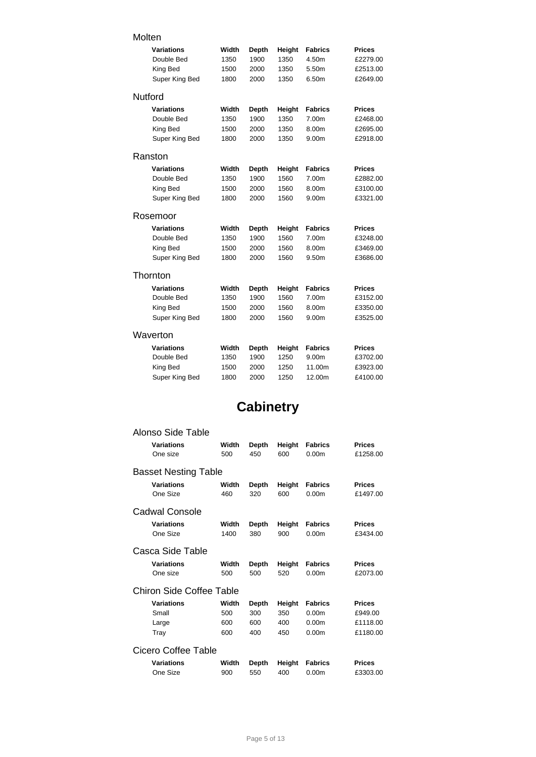### Molten

|          | <b>Variations</b><br>Double Bed | Width<br>1350 | Depth<br>1900 | Height<br>1350 | <b>Fabrics</b><br>4.50m | <b>Prices</b><br>£2279.00 |
|----------|---------------------------------|---------------|---------------|----------------|-------------------------|---------------------------|
|          | King Bed<br>Super King Bed      | 1500<br>1800  | 2000<br>2000  | 1350<br>1350   | 5.50m<br>6.50m          | £2513.00<br>£2649.00      |
| Nutford  |                                 |               |               |                |                         |                           |
|          | <b>Variations</b>               | Width         | Depth         | Height         | <b>Fabrics</b>          | <b>Prices</b>             |
|          | Double Bed                      | 1350          | 1900          | 1350           | 7.00m                   | £2468.00                  |
|          | King Bed                        | 1500          | 2000          | 1350           | 8.00m                   | £2695.00                  |
|          | Super King Bed                  | 1800          | 2000          | 1350           | 9.00m                   | £2918.00                  |
| Ranston  |                                 |               |               |                |                         |                           |
|          | Variations                      | Width         | Depth         | Height         | <b>Fabrics</b>          | <b>Prices</b>             |
|          | Double Bed                      | 1350          | 1900          | 1560           | 7.00m                   | £2882.00                  |
|          | King Bed                        | 1500          | 2000          | 1560           | 8.00m                   | £3100.00                  |
|          | Super King Bed                  | 1800          | 2000          | 1560           | 9.00m                   | £3321.00                  |
| Rosemoor |                                 |               |               |                |                         |                           |
|          | Variations                      | Width         | Depth         | Height         | <b>Fabrics</b>          | <b>Prices</b>             |
|          | Double Bed                      | 1350          | 1900          | 1560           | 7.00m                   | £3248.00                  |
|          | King Bed                        | 1500          | 2000          | 1560           | 8.00m                   | £3469.00                  |
|          | Super King Bed                  | 1800          | 2000          | 1560           | 9.50m                   | £3686.00                  |
| Thornton |                                 |               |               |                |                         |                           |
|          | <b>Variations</b>               | Width         | Depth         | Height         | <b>Fabrics</b>          | <b>Prices</b>             |
|          | Double Bed                      | 1350          | 1900          | 1560           | 7.00m                   | £3152.00                  |
|          | King Bed                        | 1500          | 2000          | 1560           | 8.00m                   | £3350.00                  |
|          | Super King Bed                  | 1800          | 2000          | 1560           | 9.00m                   | £3525.00                  |
| Waverton |                                 |               |               |                |                         |                           |
|          | Variations                      | Width         | Depth         | Height         | <b>Fabrics</b>          | <b>Prices</b>             |
|          | Double Bed                      | 1350          | 1900          | 1250           | 9.00m                   | £3702.00                  |
|          | King Bed                        | 1500          | 2000          | 1250           | 11.00m                  | £3923.00                  |
|          | Super King Bed                  | 1800          | 2000          | 1250           | 12.00m                  | £4100.00                  |
|          |                                 |               |               |                |                         |                           |

## **Cabinetry**

| Alonso Side Table           |       |       |        |                   |               |  |  |  |  |
|-----------------------------|-------|-------|--------|-------------------|---------------|--|--|--|--|
| <b>Variations</b>           | Width | Depth | Height | <b>Fabrics</b>    | <b>Prices</b> |  |  |  |  |
| One size                    | 500   | 450   | 600    | 0.00 <sub>m</sub> | £1258.00      |  |  |  |  |
| <b>Basset Nesting Table</b> |       |       |        |                   |               |  |  |  |  |
| <b>Variations</b>           | Width | Depth | Height | <b>Fabrics</b>    | <b>Prices</b> |  |  |  |  |
| One Size                    | 460   | 320   | 600    | 0.00 <sub>m</sub> | £1497.00      |  |  |  |  |
| Cadwal Console              |       |       |        |                   |               |  |  |  |  |
| <b>Variations</b>           | Width | Depth | Height | <b>Fabrics</b>    | <b>Prices</b> |  |  |  |  |
| One Size                    | 1400  | 380   | 900    | 0.00 <sub>m</sub> | £3434.00      |  |  |  |  |
| Casca Side Table            |       |       |        |                   |               |  |  |  |  |
| <b>Variations</b>           | Width | Depth | Height | <b>Fabrics</b>    | <b>Prices</b> |  |  |  |  |
| One size                    | 500   | 500   | 520    | 0.00 <sub>m</sub> | £2073.00      |  |  |  |  |
| Chiron Side Coffee Table    |       |       |        |                   |               |  |  |  |  |
| <b>Variations</b>           | Width | Depth | Height | <b>Fabrics</b>    | <b>Prices</b> |  |  |  |  |
| Small                       | 500   | 300   | 350    | 0.00 <sub>m</sub> | £949.00       |  |  |  |  |
| Large                       | 600   | 600   | 400    | 0.00 <sub>m</sub> | £1118.00      |  |  |  |  |
| Tray                        | 600   | 400   | 450    | 0.00 <sub>m</sub> | £1180.00      |  |  |  |  |
| Cicero Coffee Table         |       |       |        |                   |               |  |  |  |  |
| <b>Variations</b>           | Width | Depth | Height | <b>Fabrics</b>    | <b>Prices</b> |  |  |  |  |
| One Size                    | 900   | 550   | 400    | 0.00 <sub>m</sub> | £3303.00      |  |  |  |  |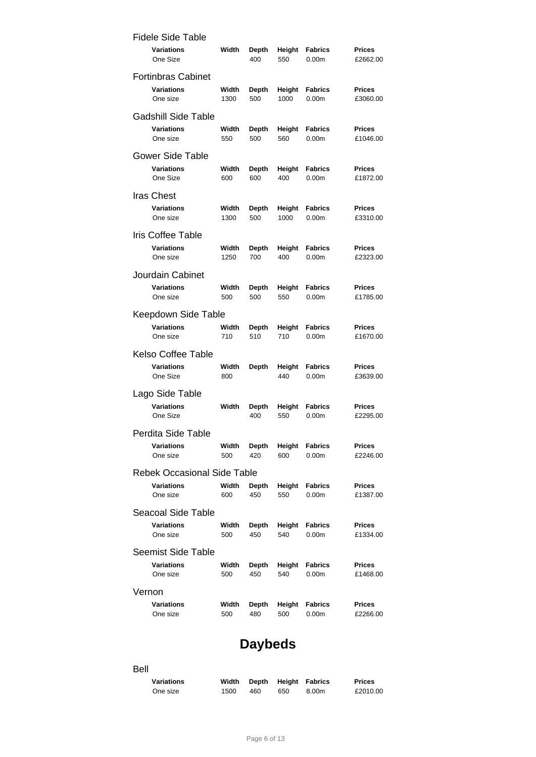| <b>Fidele Side Table</b>           |       |              |        |                   |               |
|------------------------------------|-------|--------------|--------|-------------------|---------------|
| Variations                         | Width | Depth        | Height | <b>Fabrics</b>    | <b>Prices</b> |
| One Size                           |       | 400          | 550    | 0.00 <sub>m</sub> | £2662.00      |
| <b>Fortinbras Cabinet</b>          |       |              |        |                   |               |
| <b>Variations</b>                  | Width | Depth        | Height | <b>Fabrics</b>    | <b>Prices</b> |
| One size                           | 1300  | 500          | 1000   | 0.00 <sub>m</sub> | £3060.00      |
| <b>Gadshill Side Table</b>         |       |              |        |                   |               |
| Variations                         | Width | <b>Depth</b> | Height | <b>Fabrics</b>    | <b>Prices</b> |
| One size                           | 550   | 500          | 560    | 0.00 <sub>m</sub> | £1046.00      |
| Gower Side Table                   |       |              |        |                   |               |
| Variations                         | Width | <b>Depth</b> | Height | <b>Fabrics</b>    | <b>Prices</b> |
| One Size                           | 600   | 600          | 400    | 0.00 <sub>m</sub> | £1872.00      |
| Iras Chest                         |       |              |        |                   |               |
| Variations                         | Width | Depth        | Height | <b>Fabrics</b>    | <b>Prices</b> |
| One size                           | 1300  | 500          | 1000   | 0.00 <sub>m</sub> | £3310.00      |
| <b>Iris Coffee Table</b>           |       |              |        |                   |               |
| Variations                         | Width | Depth        | Height | <b>Fabrics</b>    | <b>Prices</b> |
| One size                           | 1250  | 700          | 400    | 0.00 <sub>m</sub> | £2323.00      |
| Jourdain Cabinet                   |       |              |        |                   |               |
| Variations                         | Width | Depth        | Height | <b>Fabrics</b>    | <b>Prices</b> |
| One size                           | 500   | 500          | 550    | 0.00 <sub>m</sub> | £1785.00      |
| Keepdown Side Table                |       |              |        |                   |               |
| <b>Variations</b>                  | Width | Depth        | Height | <b>Fabrics</b>    | <b>Prices</b> |
| One size                           | 710   | 510          | 710    | 0.00 <sub>m</sub> | £1670.00      |
| Kelso Coffee Table                 |       |              |        |                   |               |
| Variations                         | Width | <b>Depth</b> | Height | <b>Fabrics</b>    | <b>Prices</b> |
| One Size                           | 800   |              | 440    | 0.00 <sub>m</sub> | £3639.00      |
| Lago Side Table                    |       |              |        |                   |               |
| Variations                         | Width | <b>Depth</b> | Height | <b>Fabrics</b>    | <b>Prices</b> |
| One Size                           |       | 400          | 550    | 0.00 <sub>m</sub> | £2295.00      |
| Perdita Side Table                 |       |              |        |                   |               |
| Variations                         | Width | Depth        | Height | <b>Fabrics</b>    | <b>Prices</b> |
| One size                           | 500   | 420          | 600    | 0.00 <sub>m</sub> | £2246.00      |
| <b>Rebek Occasional Side Table</b> |       |              |        |                   |               |
| <b>Variations</b>                  | Width | Depth        | Height | <b>Fabrics</b>    | <b>Prices</b> |
| One size                           | 600   | 450          | 550    | 0.00 <sub>m</sub> | £1387.00      |
| Seacoal Side Table                 |       |              |        |                   |               |
| Variations                         | Width | <b>Depth</b> | Height | <b>Fabrics</b>    | <b>Prices</b> |
| One size                           | 500   | 450          | 540    | 0.00 <sub>m</sub> | £1334.00      |
| <b>Seemist Side Table</b>          |       |              |        |                   |               |
| Variations                         | Width | Depth        | Height | <b>Fabrics</b>    | <b>Prices</b> |
| One size                           | 500   | 450          | 540    | 0.00 <sub>m</sub> | £1468.00      |
| Vernon                             |       |              |        |                   |               |
| Variations                         | Width | <b>Depth</b> | Height | <b>Fabrics</b>    | <b>Prices</b> |
| One size                           | 500   | 480          | 500    | 0.00 <sub>m</sub> | £2266.00      |

## **Daybeds**

### Bell

| <b>Variations</b> | Width |      |     | Depth Height Fabrics | <b>Prices</b> |
|-------------------|-------|------|-----|----------------------|---------------|
| One size          | 1500  | 460. | 650 | 8.00m                | £2010.00      |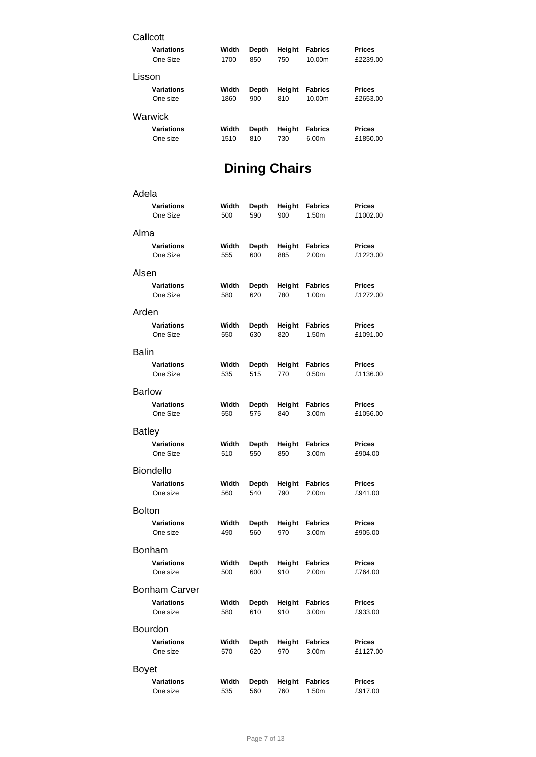| Callcott          |       |       |        |                |               |
|-------------------|-------|-------|--------|----------------|---------------|
| <b>Variations</b> | Width | Depth | Height | <b>Fabrics</b> | <b>Prices</b> |
| One Size          | 1700  | 850   | 750    | 10.00m         | £2239.00      |
| Lisson            |       |       |        |                |               |
| <b>Variations</b> | Width | Depth | Height | <b>Fabrics</b> | <b>Prices</b> |
| One size          | 1860  | 900   | 810    | 10.00m         | £2653.00      |
| Warwick           |       |       |        |                |               |
| <b>Variations</b> | Width | Depth | Height | <b>Fabrics</b> | <b>Prices</b> |
| One size          | 1510  | 810   | 730    | 6.00m          | £1850.00      |

# **Dining Chairs**

| Adela         |                      |       |              |        |                   |               |
|---------------|----------------------|-------|--------------|--------|-------------------|---------------|
|               | <b>Variations</b>    | Width | Depth        | Height | <b>Fabrics</b>    | <b>Prices</b> |
|               | One Size             | 500   | 590          | 900    | 1.50m             | £1002.00      |
| Alma          |                      |       |              |        |                   |               |
|               | <b>Variations</b>    | Width | <b>Depth</b> | Height | <b>Fabrics</b>    | <b>Prices</b> |
|               | One Size             | 555   | 600          | 885    | 2.00m             | £1223.00      |
| Alsen         |                      |       |              |        |                   |               |
|               | <b>Variations</b>    | Width | Depth        | Height | <b>Fabrics</b>    | <b>Prices</b> |
|               | One Size             | 580   | 620          | 780    | 1.00m             | £1272.00      |
| Arden         |                      |       |              |        |                   |               |
|               | <b>Variations</b>    | Width | <b>Depth</b> | Height | <b>Fabrics</b>    | <b>Prices</b> |
|               | One Size             | 550   | 630          | 820    | 1.50m             | £1091.00      |
| <b>Balin</b>  |                      |       |              |        |                   |               |
|               | <b>Variations</b>    | Width | Depth        | Height | <b>Fabrics</b>    | <b>Prices</b> |
|               | One Size             | 535   | 515          | 770    | 0.50 <sub>m</sub> | £1136.00      |
| <b>Barlow</b> |                      |       |              |        |                   |               |
|               | <b>Variations</b>    | Width | Depth        | Height | <b>Fabrics</b>    | <b>Prices</b> |
|               | One Size             | 550   | 575          | 840    | 3.00m             | £1056.00      |
| <b>Batley</b> |                      |       |              |        |                   |               |
|               | <b>Variations</b>    | Width | <b>Depth</b> | Height | <b>Fabrics</b>    | <b>Prices</b> |
|               | One Size             | 510   | 550          | 850    | 3.00m             | £904.00       |
|               | <b>Biondello</b>     |       |              |        |                   |               |
|               | <b>Variations</b>    | Width | Depth        | Height | <b>Fabrics</b>    | Prices        |
|               | One size             | 560   | 540          | 790    | 2.00m             | £941.00       |
| <b>Bolton</b> |                      |       |              |        |                   |               |
|               | <b>Variations</b>    | Width | Depth        | Height | <b>Fabrics</b>    | <b>Prices</b> |
|               | One size             | 490   | 560          | 970    | 3.00m             | £905.00       |
|               | Bonham               |       |              |        |                   |               |
|               | <b>Variations</b>    | Width | Depth        | Height | Fabrics           | Prices        |
|               | One size             | 500   | 600          | 910    | 2.00m             | £764.00       |
|               | <b>Bonham Carver</b> |       |              |        |                   |               |
|               | <b>Variations</b>    | Width | Depth        | Height | <b>Fabrics</b>    | <b>Prices</b> |
|               | One size             | 580   | 610          | 910    | 3.00 <sub>m</sub> | £933.00       |
|               | <b>Bourdon</b>       |       |              |        |                   |               |
|               | <b>Variations</b>    | Width | Depth        | Height | <b>Fabrics</b>    | <b>Prices</b> |
|               | One size             | 570   | 620          | 970    | 3.00m             | £1127.00      |
| <b>Boyet</b>  |                      |       |              |        |                   |               |
|               | <b>Variations</b>    | Width | <b>Depth</b> | Height | <b>Fabrics</b>    | <b>Prices</b> |
|               | One size             | 535   | 560          | 760    | 1.50m             | £917.00       |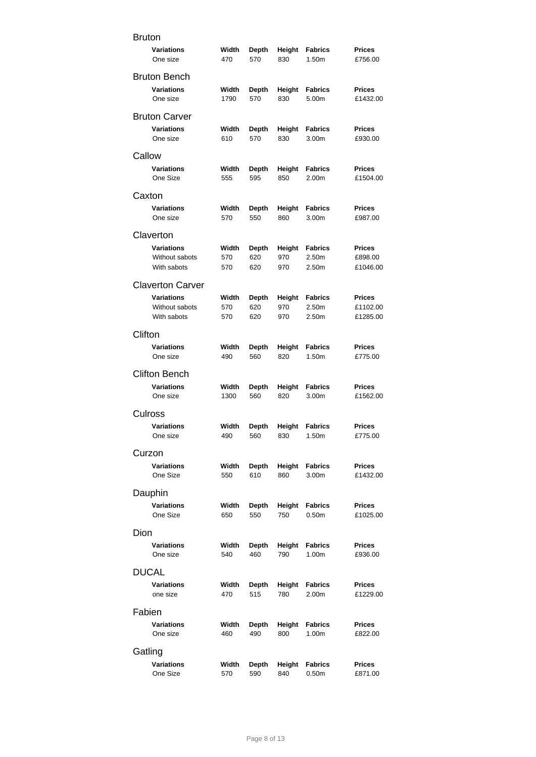| <b>Bruton</b> |                               |               |                     |               |                                     |                           |
|---------------|-------------------------------|---------------|---------------------|---------------|-------------------------------------|---------------------------|
|               | <b>Variations</b><br>One size | Width<br>470  | <b>Depth</b><br>570 | Height<br>830 | <b>Fabrics</b><br>1.50m             | <b>Prices</b><br>£756.00  |
|               | <b>Bruton Bench</b>           |               |                     |               |                                     |                           |
|               | <b>Variations</b><br>One size | Width<br>1790 | <b>Depth</b><br>570 | Height<br>830 | <b>Fabrics</b><br>5.00m             | <b>Prices</b><br>£1432.00 |
|               | <b>Bruton Carver</b>          |               |                     |               |                                     |                           |
|               | <b>Variations</b><br>One size | Width<br>610  | Depth<br>570        | Height<br>830 | <b>Fabrics</b><br>3.00m             | <b>Prices</b><br>£930.00  |
| Callow        |                               |               |                     |               |                                     |                           |
|               | <b>Variations</b><br>One Size | Width<br>555  | Depth<br>595        | Height<br>850 | Fabrics<br>2.00m                    | <b>Prices</b><br>£1504.00 |
| Caxton        |                               |               |                     |               |                                     |                           |
|               | <b>Variations</b><br>One size | Width<br>570  | Depth<br>550        | Height<br>860 | <b>Fabrics</b><br>3.00m             | <b>Prices</b><br>£987.00  |
|               | Claverton                     |               |                     |               |                                     |                           |
|               | <b>Variations</b>             | Width         | <b>Depth</b>        | Height        | <b>Fabrics</b>                      | <b>Prices</b>             |
|               | Without sabots<br>With sabots | 570<br>570    | 620<br>620          | 970<br>970    | 2.50m<br>2.50m                      | £898.00<br>£1046.00       |
|               |                               |               |                     |               |                                     |                           |
|               | <b>Claverton Carver</b>       |               |                     |               |                                     |                           |
|               | <b>Variations</b>             | Width         | Depth               | Height        | <b>Fabrics</b>                      | <b>Prices</b>             |
|               | Without sabots<br>With sabots | 570<br>570    | 620<br>620          | 970<br>970    | 2.50m<br>2.50m                      | £1102.00<br>£1285.00      |
|               |                               |               |                     |               |                                     |                           |
| Clifton       |                               |               |                     |               |                                     |                           |
|               | Variations<br>One size        | Width<br>490  | Depth<br>560        | Height<br>820 | <b>Fabrics</b><br>1.50m             | <b>Prices</b><br>£775.00  |
|               | <b>Clifton Bench</b>          |               |                     |               |                                     |                           |
|               | <b>Variations</b><br>One size | Width<br>1300 | Depth<br>560        | Height<br>820 | Fabrics<br>3.00m                    | <b>Prices</b><br>£1562.00 |
|               | Culross                       |               |                     |               |                                     |                           |
|               | <b>Variations</b><br>One size | Width<br>490  | <b>Depth</b><br>560 | Height<br>830 | <b>Fabrics</b><br>1.50m             | <b>Prices</b><br>£775.00  |
| Curzon        |                               |               |                     |               |                                     |                           |
|               | <b>Variations</b><br>One Size | Width<br>550  | Depth<br>610        | Height<br>860 | <b>Fabrics</b><br>3.00m             | <b>Prices</b><br>£1432.00 |
|               | Dauphin                       |               |                     |               |                                     |                           |
|               | <b>Variations</b><br>One Size | Width<br>650  | Depth<br>550        | Height<br>750 | <b>Fabrics</b><br>0.50 <sub>m</sub> | <b>Prices</b><br>£1025.00 |
| Dion          |                               |               |                     |               |                                     |                           |
|               | <b>Variations</b>             | Width         | Depth               | Height        | <b>Fabrics</b>                      | <b>Prices</b>             |
|               | One size                      | 540           | 460                 | 790           | 1.00 <sub>m</sub>                   | £936.00                   |
|               | DUCAL                         |               |                     |               |                                     |                           |
|               | <b>Variations</b><br>one size | Width<br>470  | Depth<br>515        | Height<br>780 | <b>Fabrics</b><br>2.00m             | <b>Prices</b><br>£1229.00 |
| Fabien        |                               |               |                     |               |                                     |                           |
|               | <b>Variations</b>             | Width         | Depth               | Height        | <b>Fabrics</b>                      | <b>Prices</b>             |
|               | One size                      | 460           | 490                 | 800           | 1.00m                               | £822.00                   |
| Gatling       |                               |               |                     |               |                                     |                           |
|               | <b>Variations</b>             | Width         | <b>Depth</b>        | Height        | <b>Fabrics</b>                      | <b>Prices</b>             |
|               | One Size                      | 570           | 590                 | 840           | 0.50 <sub>m</sub>                   | £871.00                   |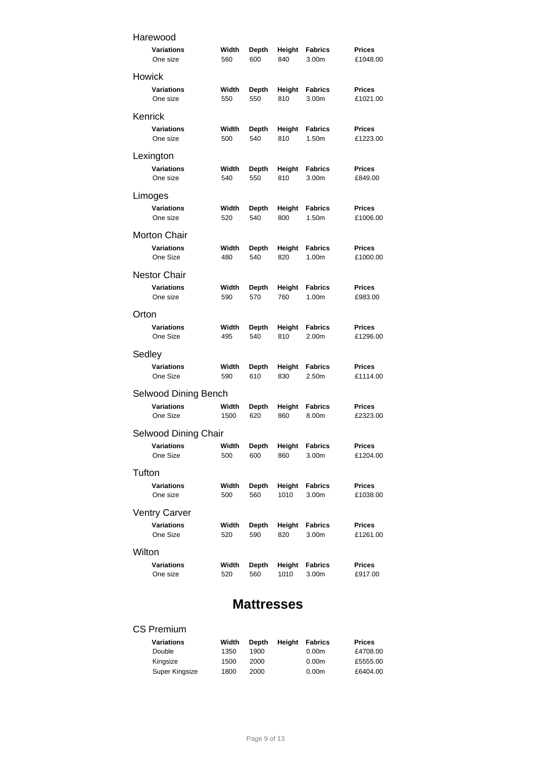| Harewood             |       |              |        |                |               |  |  |
|----------------------|-------|--------------|--------|----------------|---------------|--|--|
| Variations           | Width | Depth        | Height | <b>Fabrics</b> | <b>Prices</b> |  |  |
| One size             | 560   | 600          | 840    | 3.00m          | £1048.00      |  |  |
| Howick               |       |              |        |                |               |  |  |
| Variations           | Width | <b>Depth</b> | Height | <b>Fabrics</b> | <b>Prices</b> |  |  |
| One size             | 550   | 550          | 810    | 3.00m          | £1021.00      |  |  |
| Kenrick              |       |              |        |                |               |  |  |
| <b>Variations</b>    | Width | Depth        | Height | <b>Fabrics</b> | Prices        |  |  |
| One size             | 500   | 540          | 810    | 1.50m          | £1223.00      |  |  |
| Lexington            |       |              |        |                |               |  |  |
| <b>Variations</b>    | Width | Depth        | Height | <b>Fabrics</b> | <b>Prices</b> |  |  |
| One size             | 540   | 550          | 810    | 3.00m          | £849.00       |  |  |
| Limoges              |       |              |        |                |               |  |  |
| Variations           | Width | Depth        | Height | <b>Fabrics</b> | <b>Prices</b> |  |  |
| One size             | 520   | 540          | 800    | 1.50m          | £1006.00      |  |  |
| <b>Morton Chair</b>  |       |              |        |                |               |  |  |
| <b>Variations</b>    | Width | Depth        | Height | Fabrics        | Prices        |  |  |
| One Size             | 480   | 540          | 820    | 1.00m          | £1000.00      |  |  |
| <b>Nestor Chair</b>  |       |              |        |                |               |  |  |
| <b>Variations</b>    | Width | Depth        | Height | <b>Fabrics</b> | <b>Prices</b> |  |  |
| One size             | 590   | 570          | 760    | 1.00m          | £983.00       |  |  |
| Orton                |       |              |        |                |               |  |  |
| Variations           | Width | Depth        | Height | Fabrics        | Prices        |  |  |
| One Size             | 495   | 540          | 810    | 2.00m          | £1296.00      |  |  |
| Sedley               |       |              |        |                |               |  |  |
| <b>Variations</b>    | Width | Depth        | Height | Fabrics        | Prices        |  |  |
| One Size             | 590   | 610          | 830    | 2.50m          | £1114.00      |  |  |
| Selwood Dining Bench |       |              |        |                |               |  |  |
| <b>Variations</b>    | Width | Depth        | Height | Fabrics        | Prices        |  |  |
| One Size             | 1500  | 620          | 860    | 8.00m          | £2323.00      |  |  |
| Selwood Dining Chair |       |              |        |                |               |  |  |
| Variations           | Width | Depth        | Height | <b>Fabrics</b> | Prices        |  |  |
| One Size             | 500   | 600          | 860    | 3.00m          | £1204.00      |  |  |
| Tufton               |       |              |        |                |               |  |  |
| <b>Variations</b>    | Width | Depth        | Height | <b>Fabrics</b> | <b>Prices</b> |  |  |
| One size             | 500   | 560          | 1010   | 3.00m          | £1038.00      |  |  |
| <b>Ventry Carver</b> |       |              |        |                |               |  |  |
| Variations           | Width | Depth        | Height | <b>Fabrics</b> | <b>Prices</b> |  |  |
| One Size             | 520   | 590          | 820    | 3.00m          | £1261.00      |  |  |
| Wilton               |       |              |        |                |               |  |  |
| Variations           | Width | <b>Depth</b> | Height | <b>Fabrics</b> | Prices        |  |  |
| One size             | 520   | 560          | 1010   | 3.00m          | £917.00       |  |  |

### **Mattresses**

### CS Premium

| Variations     | Width | <b>Depth</b> | Heiaht | Fabrics           | <b>Prices</b> |
|----------------|-------|--------------|--------|-------------------|---------------|
| Double         | 1350  | 1900         |        | 0.00 <sub>m</sub> | £4708.00      |
| Kinasize       | 1500  | 2000         |        | 0.00 <sub>m</sub> | £5555.00      |
| Super Kingsize | 1800  | 2000         |        | 0.00 <sub>m</sub> | £6404.00      |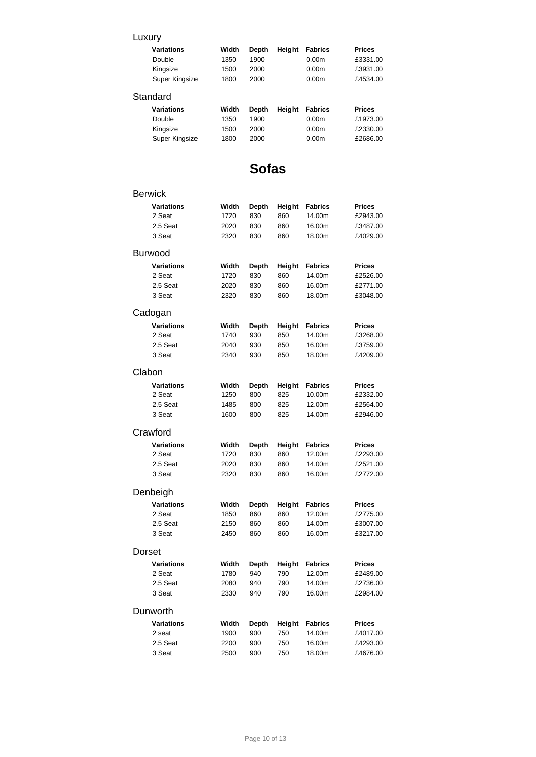### Luxury

| <b>Variations</b> | Width | <b>Depth</b> | Height | <b>Fabrics</b>    | <b>Prices</b> |
|-------------------|-------|--------------|--------|-------------------|---------------|
| Double            | 1350  | 1900         |        | 0.00 <sub>m</sub> | £3331.00      |
| Kingsize          | 1500  | 2000         |        | 0.00 <sub>m</sub> | £3931.00      |
| Super Kingsize    | 1800  | 2000         |        | 0.00 <sub>m</sub> | £4534.00      |
| Standard          |       |              |        |                   |               |
| <b>Variations</b> | Width | Depth        | Height | <b>Fabrics</b>    | <b>Prices</b> |

| vanauvus       | wuuu |      | <b>DEDIII NEIGHII FADIIUS</b> |                   | гнсеэ    |
|----------------|------|------|-------------------------------|-------------------|----------|
| Double         | 1350 | 1900 |                               | 0.00m             | £1973.00 |
| Kingsize       | 1500 | 2000 |                               | 0.00 <sub>m</sub> | £2330.00 |
| Super Kingsize | 1800 | 2000 |                               | 0.00 <sub>m</sub> | £2686.00 |

## **Sofas**

### Berwick

| <b>Variations</b> | Width | Depth        | Height | <b>Fabrics</b> | <b>Prices</b> |
|-------------------|-------|--------------|--------|----------------|---------------|
| 2 Seat            | 1720  | 830          | 860    | 14.00m         | £2943.00      |
| 2.5 Seat          | 2020  | 830          | 860    | 16.00m         | £3487.00      |
| 3 Seat            | 2320  | 830          | 860    | 18.00m         | £4029.00      |
| Burwood           |       |              |        |                |               |
|                   |       |              |        |                |               |
| <b>Variations</b> | Width | <b>Depth</b> | Height | <b>Fabrics</b> | <b>Prices</b> |
| 2 Seat            | 1720  | 830          | 860    | 14.00m         | £2526.00      |
| 2.5 Seat          | 2020  | 830          | 860    | 16.00m         | £2771.00      |
| 3 Seat            | 2320  | 830          | 860    | 18.00m         | £3048.00      |
| Cadogan           |       |              |        |                |               |
| <b>Variations</b> | Width | <b>Depth</b> | Height | <b>Fabrics</b> | <b>Prices</b> |
| 2 Seat            | 1740  | 930          | 850    | 14.00m         | £3268.00      |
| 2.5 Seat          | 2040  | 930          | 850    | 16.00m         | £3759.00      |
| 3 Seat            | 2340  | 930          | 850    | 18.00m         | £4209.00      |
|                   |       |              |        |                |               |
| Clabon            |       |              |        |                |               |
| <b>Variations</b> | Width | <b>Depth</b> | Height | <b>Fabrics</b> | Prices        |
| 2 Seat            | 1250  | 800          | 825    | 10.00m         | £2332.00      |
| 2.5 Seat          | 1485  | 800          | 825    | 12.00m         | £2564.00      |
| 3 Seat            | 1600  | 800          | 825    | 14.00m         | £2946.00      |
| Crawford          |       |              |        |                |               |
| <b>Variations</b> | Width | <b>Depth</b> | Height | <b>Fabrics</b> | Prices        |
| 2 Seat            | 1720  | 830          | 860    | 12.00m         | £2293.00      |
| 2.5 Seat          | 2020  | 830          | 860    | 14.00m         | £2521.00      |
| 3 Seat            | 2320  | 830          | 860    | 16.00m         | £2772.00      |
| Denbeigh          |       |              |        |                |               |
| <b>Variations</b> | Width | <b>Depth</b> | Height | <b>Fabrics</b> | <b>Prices</b> |
| 2 Seat            | 1850  | 860          | 860    | 12.00m         | £2775.00      |
| 2.5 Seat          | 2150  | 860          | 860    | 14.00m         | £3007.00      |
| 3 Seat            | 2450  | 860          | 860    | 16.00m         | £3217.00      |
|                   |       |              |        |                |               |
| Dorset            |       |              |        |                |               |
| <b>Variations</b> | Width | <b>Depth</b> | Height | <b>Fabrics</b> | Prices        |
| 2 Seat            | 1780  | 940          | 790    | 12.00m         | £2489.00      |
| 2.5 Seat          | 2080  | 940          | 790    | 14.00m         | £2736.00      |
| 3 Seat            | 2330  | 940          | 790    | 16.00m         | £2984.00      |
| Dunworth          |       |              |        |                |               |
| <b>Variations</b> | Width | Depth        | Height | <b>Fabrics</b> | <b>Prices</b> |
| 2 seat            | 1900  | 900          | 750    | 14.00m         | £4017.00      |
| 2.5 Seat          | 2200  | 900          | 750    | 16.00m         | £4293.00      |
| 3 Seat            | 2500  | 900          | 750    | 18.00m         | £4676.00      |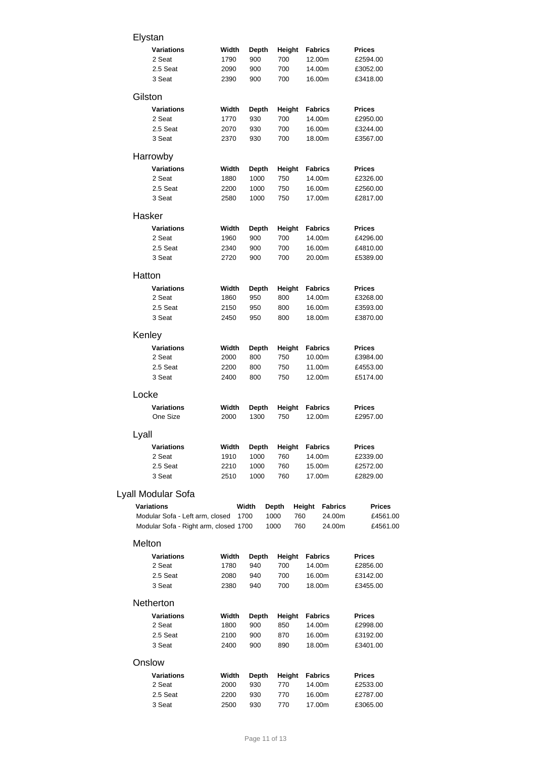| Elystan                               |       |              |             |                          |               |
|---------------------------------------|-------|--------------|-------------|--------------------------|---------------|
| <b>Variations</b>                     | Width | <b>Depth</b> | Height      | <b>Fabrics</b>           | Prices        |
| 2 Seat                                | 1790  | 900          | 700         | 12.00m                   | £2594.00      |
| 2.5 Seat                              | 2090  | 900          | 700         | 14.00m                   | £3052.00      |
| 3 Seat                                | 2390  | 900          | 700         | 16.00m                   | £3418.00      |
| Gilston                               |       |              |             |                          |               |
| <b>Variations</b>                     | Width | <b>Depth</b> | Height      | <b>Fabrics</b>           | Prices        |
| 2 Seat                                | 1770  | 930          | 700         | 14.00m                   | £2950.00      |
| 2.5 Seat                              | 2070  | 930          | 700         | 16.00m                   | £3244.00      |
| 3 Seat                                | 2370  | 930          | 700         | 18.00m                   | £3567.00      |
| Harrowby                              |       |              |             |                          |               |
| <b>Variations</b>                     | Width | <b>Depth</b> | Height      | <b>Fabrics</b>           | Prices        |
| 2 Seat                                | 1880  | 1000         | 750         | 14.00m                   | £2326.00      |
| 2.5 Seat                              | 2200  | 1000         | 750         | 16.00m                   | £2560.00      |
| 3 Seat                                | 2580  | 1000         | 750         | 17.00m                   | £2817.00      |
| Hasker                                |       |              |             |                          |               |
| <b>Variations</b>                     | Width | Depth        | Height      | <b>Fabrics</b>           | Prices        |
| 2 Seat                                | 1960  | 900          | 700         | 14.00m                   | £4296.00      |
| 2.5 Seat                              | 2340  | 900          | 700         | 16.00m                   | £4810.00      |
| 3 Seat                                | 2720  | 900          | 700         | 20.00m                   | £5389.00      |
| Hatton                                |       |              |             |                          |               |
| <b>Variations</b>                     | Width | <b>Depth</b> | Height      | <b>Fabrics</b>           | <b>Prices</b> |
| 2 Seat                                | 1860  | 950          | 800         | 14.00m                   | £3268.00      |
| 2.5 Seat                              | 2150  | 950          | 800         | 16.00m                   | £3593.00      |
| 3 Seat                                | 2450  | 950          | 800         | 18.00m                   | £3870.00      |
| Kenley                                |       |              |             |                          |               |
| <b>Variations</b>                     | Width | <b>Depth</b> | Height      | <b>Fabrics</b>           | Prices        |
| 2 Seat                                | 2000  | 800          | 750         | 10.00m                   | £3984.00      |
| 2.5 Seat                              | 2200  | 800          | 750         | 11.00m                   | £4553.00      |
| 3 Seat                                | 2400  | 800          | 750         | 12.00m                   | £5174.00      |
| Locke                                 |       |              |             |                          |               |
| Variations                            | Width | <b>Depth</b> | Height      | <b>Fabrics</b>           | <b>Prices</b> |
| One Size                              | 2000  | 1300         | 750         | 12.00m                   | £2957.00      |
| Lyall                                 |       |              |             |                          |               |
| <b>Variations</b>                     | Width | <b>Depth</b> | Height      | <b>Fabrics</b>           | <b>Prices</b> |
| 2 Seat                                | 1910  | 1000         | 760         | 14.00m                   | £2339.00      |
| 2.5 Seat                              | 2210  | 1000         | 760         | 15.00m                   | £2572.00      |
| 3 Seat                                | 2510  | 1000         | 760         | 17.00m                   | £2829.00      |
| Lyall Modular Sofa                    |       |              |             |                          |               |
| <b>Variations</b>                     |       | Width        | Depth       | Height<br><b>Fabrics</b> | <b>Prices</b> |
| Modular Sofa - Left arm, closed       |       | 1700         | 1000<br>760 | 24.00m                   | £4561.00      |
| Modular Sofa - Right arm, closed 1700 |       |              | 1000<br>760 | 24.00m                   | £4561.00      |
| Melton                                |       |              |             |                          |               |
| <b>Variations</b>                     | Width | Depth        | Height      | <b>Fabrics</b>           | Prices        |
| 2 Seat                                | 1780  | 940          | 700         | 14.00m                   | £2856.00      |
| 2.5 Seat                              | 2080  | 940          | 700         | 16.00m                   | £3142.00      |
| 3 Seat                                | 2380  | 940          | 700         | 18.00m                   | £3455.00      |
| Netherton                             |       |              |             |                          |               |
| Variations                            | Width | <b>Depth</b> | Height      | <b>Fabrics</b>           | Prices        |
| 2 Seat                                | 1800  | 900          | 850         | 14.00m                   | £2998.00      |
|                                       |       |              |             |                          |               |

#### 2.5 Seat 2100 900 870 16.00m £3192.00 3 Seat 2400 900 890 18.00m £3401.00 Onslow **Variations Width Depth Height Fabrics Prices** 2000 930 770 14.00m £2533.00 2.5 Seat 2200 930 770 16.00m £2787.00 3 Seat 2500 930 770 17.00m £3065.00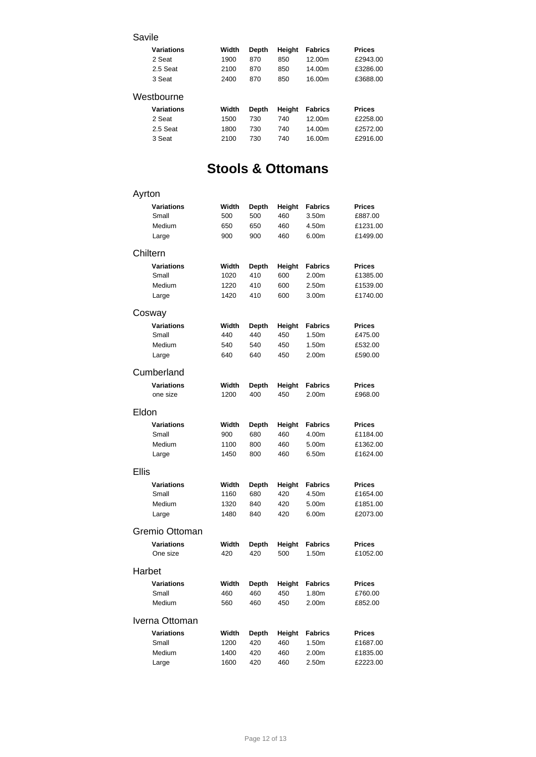### Savile

| <b>Variations</b> | Width | Depth | Height | <b>Fabrics</b> | <b>Prices</b> |
|-------------------|-------|-------|--------|----------------|---------------|
| 2 Seat            | 1900  | 870   | 850    | 12.00m         | £2943.00      |
| 2.5 Seat          | 2100  | 870   | 850    | 14.00m         | £3286.00      |
| 3 Seat            | 2400  | 870   | 850    | 16.00m         | £3688.00      |
| Westbourne        |       |       |        |                |               |
| <b>Variations</b> | Width | Depth | Height | <b>Fabrics</b> | <b>Prices</b> |
| 2 Seat            | 1500  | 730   | 740    | 12.00m         | £2258.00      |
| 2.5 Seat          | 1800  | 730   | 740    | 14.00m         | £2572.00      |
| 3 Seat            | 2100  | 730   | 740    | 16.00m         | £2916.00      |

## **Stools & Ottomans**

| Ayrton            |       |              |        |                   |               |
|-------------------|-------|--------------|--------|-------------------|---------------|
| Variations        | Width | <b>Depth</b> | Height | <b>Fabrics</b>    | <b>Prices</b> |
| Small             | 500   | 500          | 460    | 3.50m             | £887.00       |
| Medium            | 650   | 650          | 460    | 4.50m             | £1231.00      |
| Large             | 900   | 900          | 460    | 6.00m             | £1499.00      |
| Chiltern          |       |              |        |                   |               |
| Variations        | Width | Depth        | Height | <b>Fabrics</b>    | <b>Prices</b> |
| Small             | 1020  | 410          | 600    | 2.00m             | £1385.00      |
| Medium            | 1220  | 410          | 600    | 2.50m             | £1539.00      |
| Large             | 1420  | 410          | 600    | 3.00m             | £1740.00      |
| Cosway            |       |              |        |                   |               |
| <b>Variations</b> | Width | Depth        | Height | <b>Fabrics</b>    | <b>Prices</b> |
| Small             | 440   | 440          | 450    | 1.50m             | £475.00       |
| Medium            | 540   | 540          | 450    | 1.50m             | £532.00       |
| Large             | 640   | 640          | 450    | 2.00m             | £590.00       |
| Cumberland        |       |              |        |                   |               |
| Variations        | Width | Depth        | Height | <b>Fabrics</b>    | <b>Prices</b> |
| one size          | 1200  | 400          | 450    | 2.00m             | £968.00       |
| Eldon             |       |              |        |                   |               |
| <b>Variations</b> | Width | Depth        | Height | <b>Fabrics</b>    | <b>Prices</b> |
| Small             | 900   | 680          | 460    | 4.00m             | £1184.00      |
| Medium            | 1100  | 800          | 460    | 5.00m             | £1362.00      |
| Large             | 1450  | 800          | 460    | 6.50m             | £1624.00      |
| <b>Ellis</b>      |       |              |        |                   |               |
| <b>Variations</b> | Width | Depth        | Height | <b>Fabrics</b>    | <b>Prices</b> |
| Small             | 1160  | 680          | 420    | 4.50m             | £1654.00      |
| Medium            | 1320  | 840          | 420    | 5.00m             | £1851.00      |
| Large             | 1480  | 840          | 420    | 6.00m             | £2073.00      |
| Gremio Ottoman    |       |              |        |                   |               |
| <b>Variations</b> | Width | <b>Depth</b> | Height | <b>Fabrics</b>    | <b>Prices</b> |
| One size          | 420   | 420          | 500    | 1.50m             | £1052.00      |
| Harbet            |       |              |        |                   |               |
| <b>Variations</b> | Width | Depth        | Height | <b>Fabrics</b>    | <b>Prices</b> |
| Small             | 460   | 460          | 450    | 1.80m             | £760.00       |
| Medium            | 560   | 460          | 450    | 2.00m             | £852.00       |
| Iverna Ottoman    |       |              |        |                   |               |
| <b>Variations</b> | Width | Depth        | Height | <b>Fabrics</b>    | <b>Prices</b> |
| Small             | 1200  | 420          | 460    | 1.50m             | £1687.00      |
| Medium            | 1400  | 420          | 460    | 2.00m             | £1835.00      |
| Large             | 1600  | 420          | 460    | 2.50 <sub>m</sub> | £2223.00      |